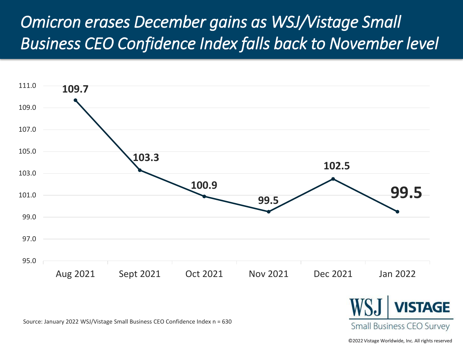# *Omicron erases December gains as WSJ/Vistage Small Business CEO Confidence Index falls back to November level*





Small Business CEO Survey ©2022 Vistage Worldwide, Inc. All rights reserved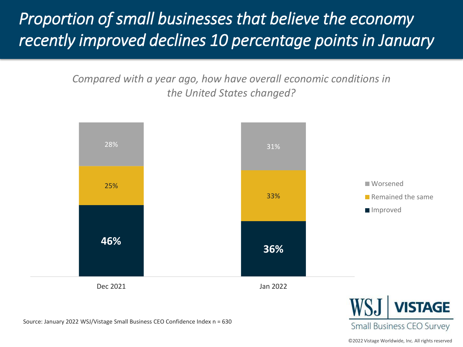# *Proportion of small businesses that believe the economy recently improved declines 10 percentage points in January*

*Compared with a year ago, how have overall economic conditions in the United States changed?*





©2022 Vistage Worldwide, Inc. All rights reserved

**Small Business CEO Survey**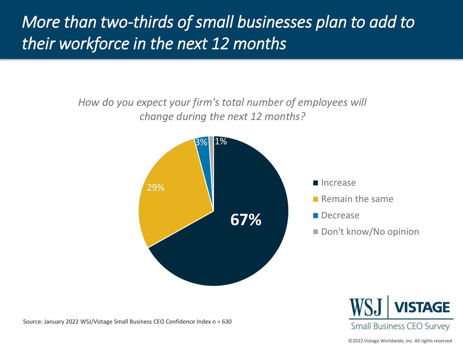# *More than two-thirds of small businesses plan to add to their workforce in the next 12 months*

*How do you expect your firm's total number of employees will change during the next 12 months?*



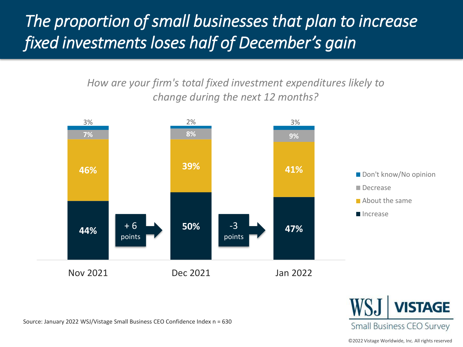## *The proportion of small businesses that plan to increase fixed investments loses half of December's gain*

*How are your firm's total fixed investment expenditures likely to change during the next 12 months?* 





Source: January 2022 WSJ/Vistage Small Business CEO Confidence Index n = 630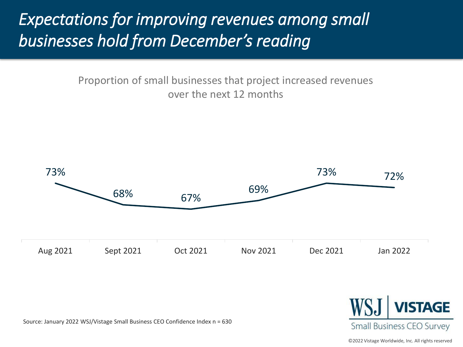## *Expectations for improving revenues among small businesses hold from December's reading*

Proportion of small businesses that project increased revenues over the next 12 months





Source: January 2022 WSJ/Vistage Small Business CEO Confidence Index n = 630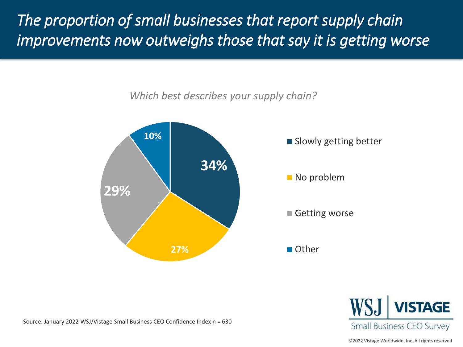*The proportion of small businesses that report supply chain improvements now outweighs those that say it is getting worse*

*Which best describes your supply chain?*





Source: January 2022 WSJ/Vistage Small Business CEO Confidence Index n = 630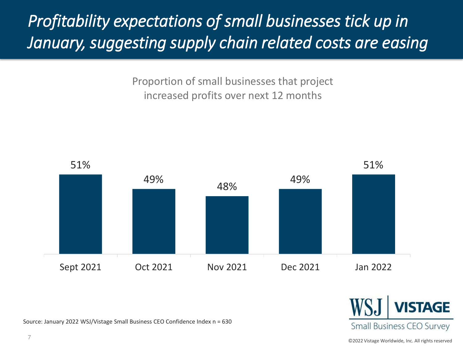# *Profitability expectations of small businesses tick up in January, suggesting supply chain related costs are easing*

Proportion of small businesses that project increased profits over next 12 months





Source: January 2022 WSJ/Vistage Small Business CEO Confidence Index n = 630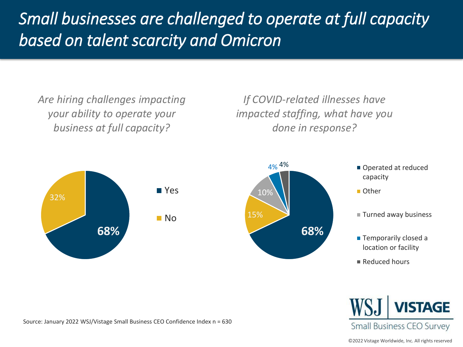# *Small businesses are challenged to operate at full capacity based on talent scarcity and Omicron*

*Are hiring challenges impacting your ability to operate your business at full capacity?*

*If COVID-related illnesses have impacted staffing, what have you done in response?*



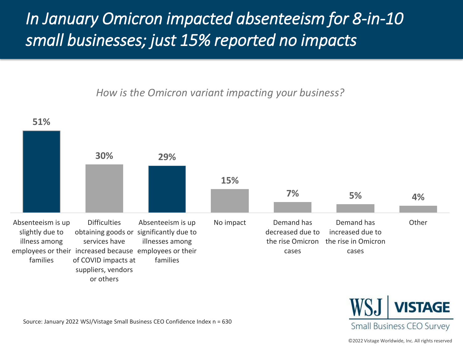## *In January Omicron impacted absenteeism for 8-in-10 small businesses; just 15% reported no impacts*

#### *How is the Omicron variant impacting your business?*



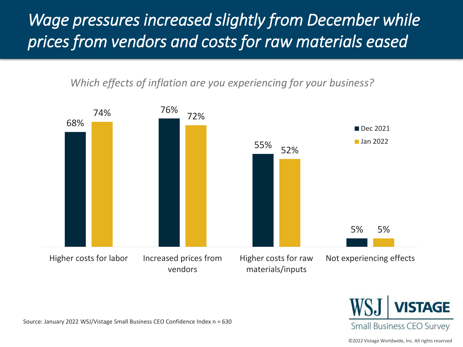# *Wage pressures increased slightly from December while prices from vendors and costs for raw materials eased*

*Which effects of inflation are you experiencing for your business?*